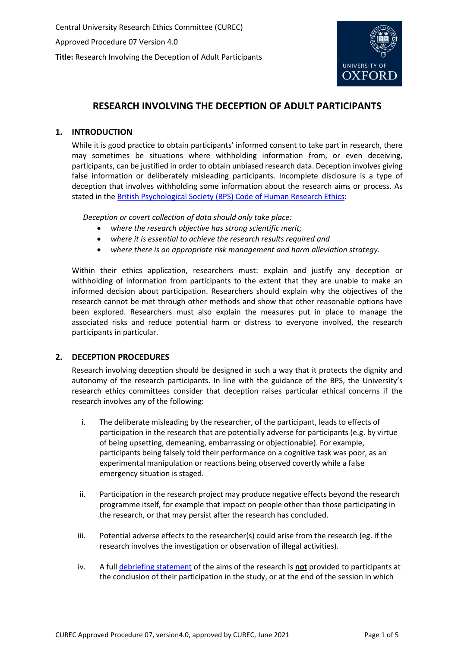

# **RESEARCH INVOLVING THE DECEPTION OF ADULT PARTICIPANTS**

## **1. INTRODUCTION**

While it is good practice to obtain participants' informed consent to take part in research, there may sometimes be situations where withholding information from, or even deceiving, participants, can be justified in order to obtain unbiased research data. Deception involves giving false information or deliberately misleading participants. Incomplete disclosure is a type of deception that involves withholding some information about the research aims or process. As stated in the British Psychological Society (BPS) [Code of Human Research Ethics:](https://www.bps.org.uk/sites/www.bps.org.uk/files/Policy/Policy%20-%20Files/BPS%20Code%20of%20Human%20Research%20Ethics.pdf)

*Deception or covert collection of data should only take place:*

- *where the research objective has strong scientific merit;*
- *where it is essential to achieve the research results required and*
- *where there is an appropriate risk management and harm alleviation strategy.*

Within their ethics application, researchers must: explain and justify any deception or withholding of information from participants to the extent that they are unable to make an informed decision about participation. Researchers should explain why the objectives of the research cannot be met through other methods and show that other reasonable options have been explored. Researchers must also explain the measures put in place to manage the associated risks and reduce potential harm or distress to everyone involved, the research participants in particular.

## **2. DECEPTION PROCEDURES**

Research involving deception should be designed in such a way that it protects the dignity and autonomy of the research participants. In line with the guidance of the BPS, the University's research ethics committees consider that deception raises particular ethical concerns if the research involves any of the following:

- i. The deliberate misleading by the researcher, of the participant, leads to effects of participation in the research that are potentially adverse for participants (e.g. by virtue of being upsetting, demeaning, embarrassing or objectionable). For example, participants being falsely told their performance on a cognitive task was poor, as an experimental manipulation or reactions being observed covertly while a false emergency situation is staged.
- ii. Participation in the research project may produce negative effects beyond the research programme itself, for example that impact on people other than those participating in the research, or that may persist after the research has concluded.
- iii. Potential adverse effects to the researcher(s) could arise from the research (eg. if the research involves the investigation or observation of illegal activities).
- iv. A full [debriefing statement](#page-1-0) of the aims of the research is **not** provided to participants at the conclusion of their participation in the study, or at the end of the session in which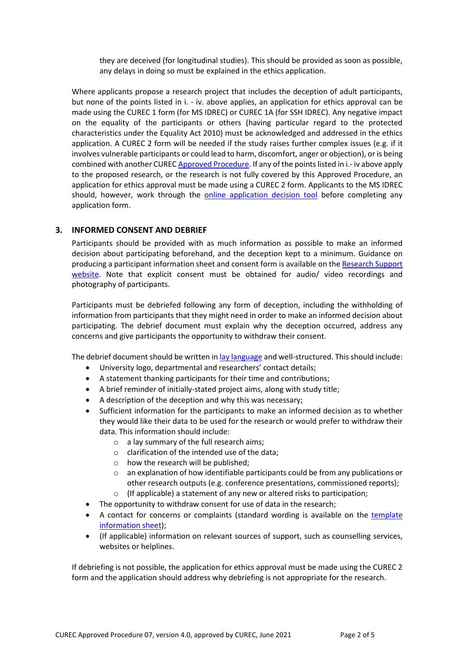they are deceived (for longitudinal studies). This should be provided as soon as possible, any delays in doing so must be explained in the ethics application.

Where applicants propose a research project that includes the deception of adult participants, but none of the points listed in i. - iv. above applies, an application for ethics approval can be made using the CUREC 1 form (for MS IDREC) or CUREC 1A (for SSH IDREC). Any negative impact on the equality of the participants or others (having particular regard to the protected characteristics under the Equality Act 2010) must be acknowledged and addressed in the ethics application. A CUREC 2 form will be needed if the study raises further complex issues (e.g. if it involves vulnerable participants or could lead to harm, discomfort, anger or objection), or is being combined with another CURE[C Approved Procedure.](https://researchsupport.admin.ox.ac.uk/governance/ethics/resources/ap) If any of the points listed in i.- iv above apply to the proposed research, or the research is not fully covered by this Approved Procedure, an application for ethics approval must be made using a CUREC 2 form. Applicants to the MS IDREC should, however, work through the **[online application decision tool](https://researchsupport.admin.ox.ac.uk/governance/ethics/decision-tool/1)** before completing any application form.

## **3. INFORMED CONSENT AND DEBRIEF**

<span id="page-1-0"></span>Participants should be provided with as much information as possible to make an informed decision about participating beforehand, and the deception kept to a minimum. Guidance on producing a participant information sheet and consent form is available on th[e Research Support](https://researchsupport.admin.ox.ac.uk/governance/ethics/resources/consent)  [website.](https://researchsupport.admin.ox.ac.uk/governance/ethics/resources/consent) Note that explicit consent must be obtained for audio/ video recordings and photography of participants.

Participants must be debriefed following any form of deception, including the withholding of information from participants that they might need in order to make an informed decision about participating. The debrief document must explain why the deception occurred, address any concerns and give participants the opportunity to withdraw their consent.

The debrief document should be written i[n lay language](https://researchsupport.admin.ox.ac.uk/files/writingforparticipantspdf) and well-structured. This should include:

- University logo, departmental and researchers' contact details;
- A statement thanking participants for their time and contributions;
- A brief reminder of initially-stated project aims, along with study title;
- A description of the deception and why this was necessary;
- Sufficient information for the participants to make an informed decision as to whether they would like their data to be used for the research or would prefer to withdraw their data. This information should include:
	- o a lay summary of the full research aims;
	- $\circ$  clarification of the intended use of the data:
	- o how the research will be published;
	- $\circ$  an explanation of how identifiable participants could be from any publications or other research outputs (e.g. conference presentations, commissioned reports);
	- o (If applicable) a statement of any new or altered risks to participation;
- The opportunity to withdraw consent for use of data in the research;
- A contact for concerns or complaints (standard wording is available on the [template](https://researchsupport.admin.ox.ac.uk/governance/ethics/resources/consent#collapse281101)  [information sheet\)](https://researchsupport.admin.ox.ac.uk/governance/ethics/resources/consent#collapse281101);
- (If applicable) information on relevant sources of support, such as counselling services, websites or helplines.

If debriefing is not possible, the application for ethics approval must be made using the CUREC 2 form and the application should address why debriefing is not appropriate for the research.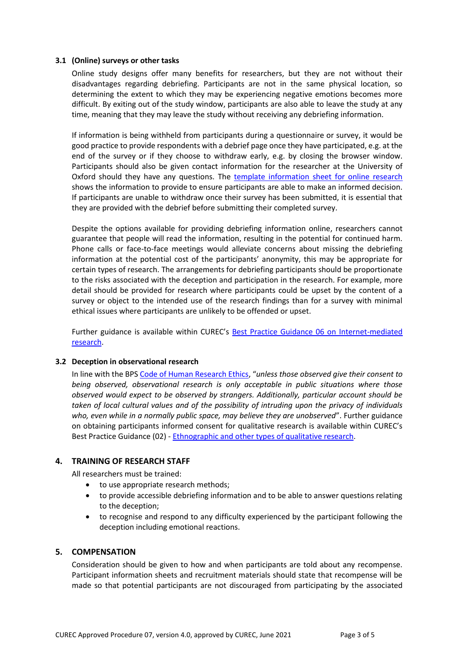#### **3.1 (Online) surveys or other tasks**

Online study designs offer many benefits for researchers, but they are not without their disadvantages regarding debriefing. Participants are not in the same physical location, so determining the extent to which they may be experiencing negative emotions becomes more difficult. By exiting out of the study window, participants are also able to leave the study at any time, meaning that they may leave the study without receiving any debriefing information.

If information is being withheld from participants during a questionnaire or survey, it would be good practice to provide respondents with a debrief page once they have participated, e.g. at the end of the survey or if they choose to withdraw early, e.g. by closing the browser window. Participants should also be given contact information for the researcher at the University of Oxford should they have any questions. The [template information sheet for online research](https://researchsupport.admin.ox.ac.uk/governance/ethics/resources/consent) shows the information to provide to ensure participants are able to make an informed decision. If participants are unable to withdraw once their survey has been submitted, it is essential that they are provided with the debrief before submitting their completed survey.

Despite the options available for providing debriefing information online, researchers cannot guarantee that people will read the information, resulting in the potential for continued harm. Phone calls or face-to-face meetings would alleviate concerns about missing the debriefing information at the potential cost of the participants' anonymity, this may be appropriate for certain types of research. The arrangements for debriefing participants should be proportionate to the risks associated with the deception and participation in the research. For example, more detail should be provided for research where participants could be upset by the content of a survey or object to the intended use of the research findings than for a survey with minimal ethical issues where participants are unlikely to be offended or upset.

Further guidance is available within CUREC's [Best Practice Guidance 06 on Internet-mediated](https://researchsupport.admin.ox.ac.uk/governance/ethics/resources/bpg)  [research.](https://researchsupport.admin.ox.ac.uk/governance/ethics/resources/bpg)

#### **3.2 Deception in observational research**

In line with the BPS [Code of Human Research Ethics,](https://www.bps.org.uk/sites/www.bps.org.uk/files/Policy/Policy%20-%20Files/BPS%20Code%20of%20Human%20Research%20Ethics.pdf) "*unless those observed give their consent to being observed, observational research is only acceptable in public situations where those observed would expect to be observed by strangers. Additionally, particular account should be taken of local cultural values and of the possibility of intruding upon the privacy of individuals who, even while in a normally public space, may believe they are unobserved*". Further guidance on obtaining participants informed consent for qualitative research is available within CUREC's Best Practice Guidance (02) - [Ethnographic and other types of qualitative research.](https://researchsupport.admin.ox.ac.uk/governance/ethics/resources/bpg)

## **4. TRAINING OF RESEARCH STAFF**

All researchers must be trained:

- to use appropriate research methods;
- to provide accessible debriefing information and to be able to answer questions relating to the deception;
- to recognise and respond to any difficulty experienced by the participant following the deception including emotional reactions.

## **5. COMPENSATION**

Consideration should be given to how and when participants are told about any recompense. Participant information sheets and recruitment materials should state that recompense will be made so that potential participants are not discouraged from participating by the associated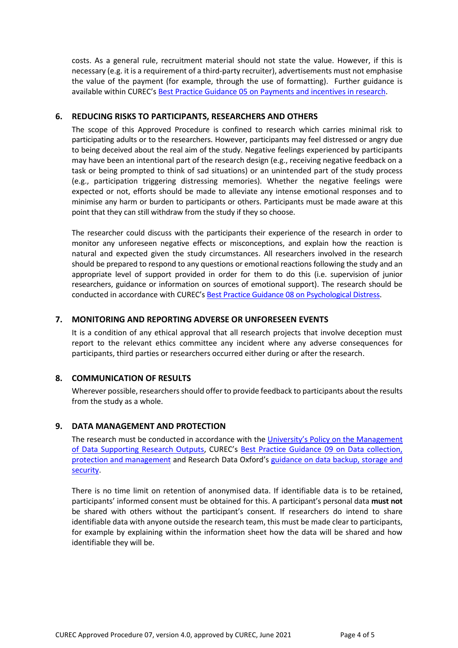costs. As a general rule, recruitment material should not state the value. However, if this is necessary (e.g. it is a requirement of a third-party recruiter), advertisements must not emphasise the value of the payment (for example, through the use of formatting). Further guidance is available within CUREC's [Best Practice Guidance 05 on Payments and incentives in research.](https://researchsupport.admin.ox.ac.uk/governance/ethics/resources/bpg)

## **6. REDUCING RISKS TO PARTICIPANTS, RESEARCHERS AND OTHERS**

The scope of this Approved Procedure is confined to research which carries minimal risk to participating adults or to the researchers. However, participants may feel distressed or angry due to being deceived about the real aim of the study. Negative feelings experienced by participants may have been an intentional part of the research design (e.g., receiving negative feedback on a task or being prompted to think of sad situations) or an unintended part of the study process (e.g., participation triggering distressing memories). Whether the negative feelings were expected or not, efforts should be made to alleviate any intense emotional responses and to minimise any harm or burden to participants or others. Participants must be made aware at this point that they can still withdraw from the study if they so choose.

The researcher could discuss with the participants their experience of the research in order to monitor any unforeseen negative effects or misconceptions, and explain how the reaction is natural and expected given the study circumstances. All researchers involved in the research should be prepared to respond to any questions or emotional reactions following the study and an appropriate level of support provided in order for them to do this (i.e. supervision of junior researchers, guidance or information on sources of emotional support). The research should be conducted in accordance with [CUREC](https://www.admin.ox.ac.uk/media/global/wwwadminoxacuk/localsites/curec/documents/1-1PsychDistress.pdf)'s [Best Practice Guidance 08 on Psychological Distress.](https://researchsupport.admin.ox.ac.uk/governance/ethics/resources/bpg)

#### **7. MONITORING AND REPORTING ADVERSE OR UNFORESEEN EVENTS**

It is a condition of any ethical approval that all research projects that involve deception must report to the relevant ethics committee any incident where any adverse consequences for participants, third parties or researchers occurred either during or after the research.

#### **8. COMMUNICATION OF RESULTS**

Wherever possible, researchers should offer to provide feedback to participants about the results from the study as a whole.

## **9. DATA MANAGEMENT AND PROTECTION**

The research must be conducted in accordance with the [University's Policy on](hhttps://researchdata.ox.ac.uk/university-of-oxford-policy-on-the-management-of-data-supporting-research-outputs/) the Management [of Data Supporting Research Outputs,](hhttps://researchdata.ox.ac.uk/university-of-oxford-policy-on-the-management-of-data-supporting-research-outputs/) CUREC's Best Practice Guidance 09 on Data collection, [protection and management](https://researchsupport.admin.ox.ac.uk/governance/ethics/resources/bpg) and Research Data Oxford's [guidance on data backup, storage and](https://researchdata.ox.ac.uk/home/managing-your-data-at-oxford/storage-and-backup)  [security.](https://researchdata.ox.ac.uk/home/managing-your-data-at-oxford/storage-and-backup)

There is no time limit on retention of anonymised data. If identifiable data is to be retained, participants' informed consent must be obtained for this. A participant's personal data **must not** be shared with others without the participant's consent. If researchers do intend to share identifiable data with anyone outside the research team, this must be made clear to participants, for example by explaining within the information sheet how the data will be shared and how identifiable they will be.